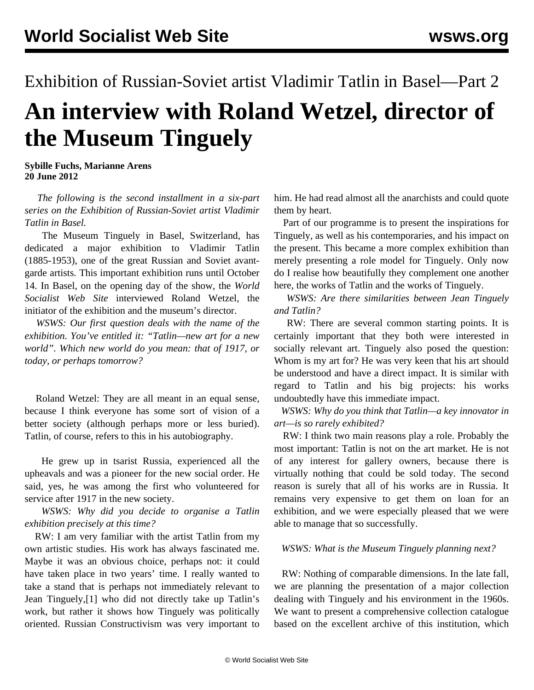## Exhibition of Russian-Soviet artist Vladimir Tatlin in Basel—Part 2 **An interview with Roland Wetzel, director of the Museum Tinguely**

**Sybille Fuchs, Marianne Arens 20 June 2012**

 *The following is the second installment in a six-part series on the Exhibition of Russian-Soviet artist Vladimir Tatlin in Basel.*

 The Museum Tinguely in Basel, Switzerland, has dedicated a major exhibition to Vladimir Tatlin (1885-1953), one of the great Russian and Soviet avantgarde artists. This important exhibition runs until October 14. In Basel, on the opening day of the show, the *World Socialist Web Site* interviewed Roland Wetzel, the initiator of the exhibition and the museum's director.

 *WSWS: Our first question deals with the name of the exhibition. You've entitled it: "Tatlin—new art for a new world". Which new world do you mean: that of 1917, or today, or perhaps tomorrow?*

 Roland Wetzel: They are all meant in an equal sense, because I think everyone has some sort of vision of a better society (although perhaps more or less buried). Tatlin, of course, refers to this in his autobiography.

 He grew up in tsarist Russia, experienced all the upheavals and was a pioneer for the new social order. He said, yes, he was among the first who volunteered for service after 1917 in the new society.

 *WSWS: Why did you decide to organise a Tatlin exhibition precisely at this time?*

 RW: I am very familiar with the artist Tatlin from my own artistic studies. His work has always fascinated me. Maybe it was an obvious choice, perhaps not: it could have taken place in two years' time. I really wanted to take a stand that is perhaps not immediately relevant to Jean Tinguely,[1] who did not directly take up Tatlin's work, but rather it shows how Tinguely was politically oriented. Russian Constructivism was very important to

him. He had read almost all the anarchists and could quote them by heart.

 Part of our programme is to present the inspirations for Tinguely, as well as his contemporaries, and his impact on the present. This became a more complex exhibition than merely presenting a role model for Tinguely. Only now do I realise how beautifully they complement one another here, the works of Tatlin and the works of Tinguely.

 *WSWS: Are there similarities between Jean Tinguely and Tatlin?*

 RW: There are several common starting points. It is certainly important that they both were interested in socially relevant art. Tinguely also posed the question: Whom is my art for? He was very keen that his art should be understood and have a direct impact. It is similar with regard to Tatlin and his big projects: his works undoubtedly have this immediate impact.

 *WSWS: Why do you think that Tatlin—a key innovator in art—is so rarely exhibited?*

 RW: I think two main reasons play a role. Probably the most important: Tatlin is not on the art market. He is not of any interest for gallery owners, because there is virtually nothing that could be sold today. The second reason is surely that all of his works are in Russia. It remains very expensive to get them on loan for an exhibition, and we were especially pleased that we were able to manage that so successfully.

## *WSWS: What is the Museum Tinguely planning next?*

 RW: Nothing of comparable dimensions. In the late fall, we are planning the presentation of a major collection dealing with Tinguely and his environment in the 1960s. We want to present a comprehensive collection catalogue based on the excellent archive of this institution, which